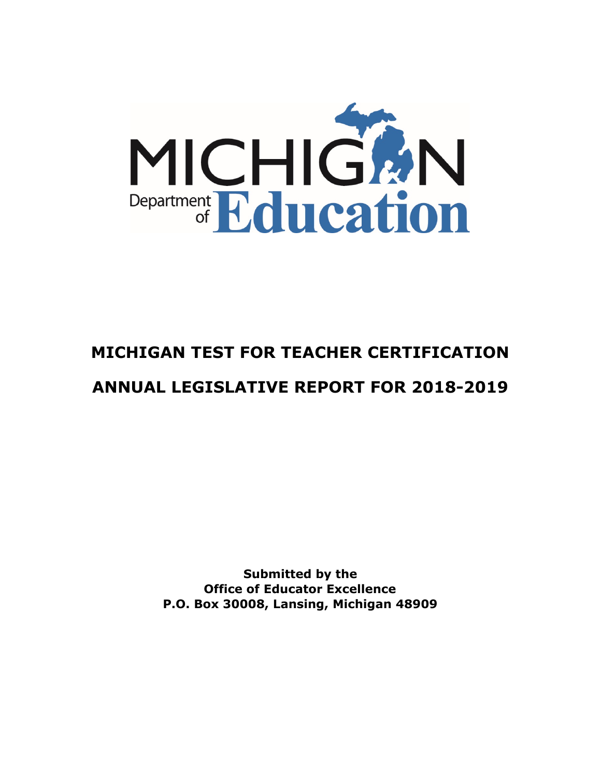

# **MICHIGAN TEST FOR TEACHER CERTIFICATION ANNUAL LEGISLATIVE REPORT FOR 2018-2019**

**Submitted by the Office of Educator Excellence P.O. Box 30008, Lansing, Michigan 48909**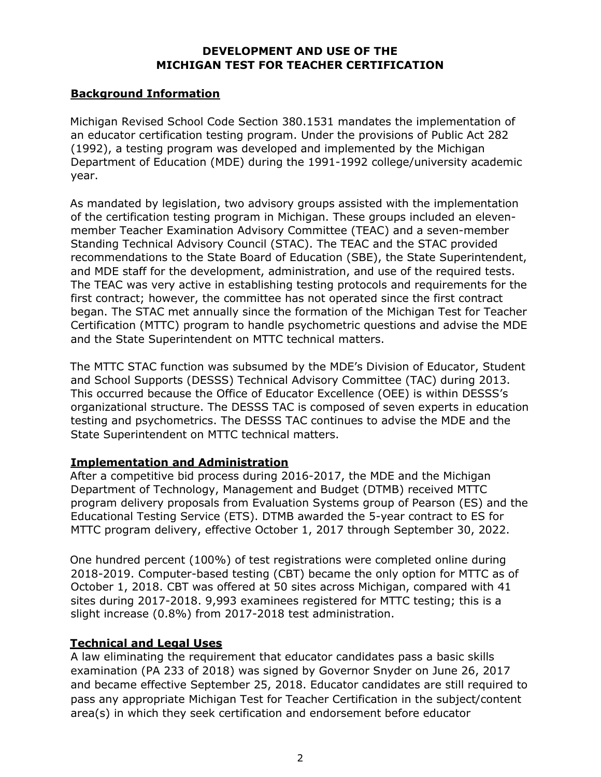# **DEVELOPMENT AND USE OF THE MICHIGAN TEST FOR TEACHER CERTIFICATION**

# **Background Information**

Michigan Revised School Code Section 380.1531 mandates the implementation of an educator certification testing program. Under the provisions of Public Act 282 (1992), a testing program was developed and implemented by the Michigan Department of Education (MDE) during the 1991-1992 college/university academic year.

As mandated by legislation, two advisory groups assisted with the implementation of the certification testing program in Michigan. These groups included an elevenmember Teacher Examination Advisory Committee (TEAC) and a seven-member Standing Technical Advisory Council (STAC). The TEAC and the STAC provided recommendations to the State Board of Education (SBE), the State Superintendent, and MDE staff for the development, administration, and use of the required tests. The TEAC was very active in establishing testing protocols and requirements for the first contract; however, the committee has not operated since the first contract began. The STAC met annually since the formation of the Michigan Test for Teacher Certification (MTTC) program to handle psychometric questions and advise the MDE and the State Superintendent on MTTC technical matters.

The MTTC STAC function was subsumed by the MDE's Division of Educator, Student and School Supports (DESSS) Technical Advisory Committee (TAC) during 2013. This occurred because the Office of Educator Excellence (OEE) is within DESSS's organizational structure. The DESSS TAC is composed of seven experts in education testing and psychometrics. The DESSS TAC continues to advise the MDE and the State Superintendent on MTTC technical matters.

# **Implementation and Administration**

After a competitive bid process during 2016-2017, the MDE and the Michigan Department of Technology, Management and Budget (DTMB) received MTTC program delivery proposals from Evaluation Systems group of Pearson (ES) and the Educational Testing Service (ETS). DTMB awarded the 5-year contract to ES for MTTC program delivery, effective October 1, 2017 through September 30, 2022.

One hundred percent (100%) of test registrations were completed online during 2018-2019. Computer-based testing (CBT) became the only option for MTTC as of October 1, 2018. CBT was offered at 50 sites across Michigan, compared with 41 sites during 2017-2018. 9,993 examinees registered for MTTC testing; this is a slight increase (0.8%) from 2017-2018 test administration.

# **Technical and Legal Uses**

A law eliminating the requirement that educator candidates pass a basic skills examination (PA 233 of 2018) was signed by Governor Snyder on June 26, 2017 and became effective September 25, 2018. Educator candidates are still required to pass any appropriate Michigan Test for Teacher Certification in the subject/content area(s) in which they seek certification and endorsement before educator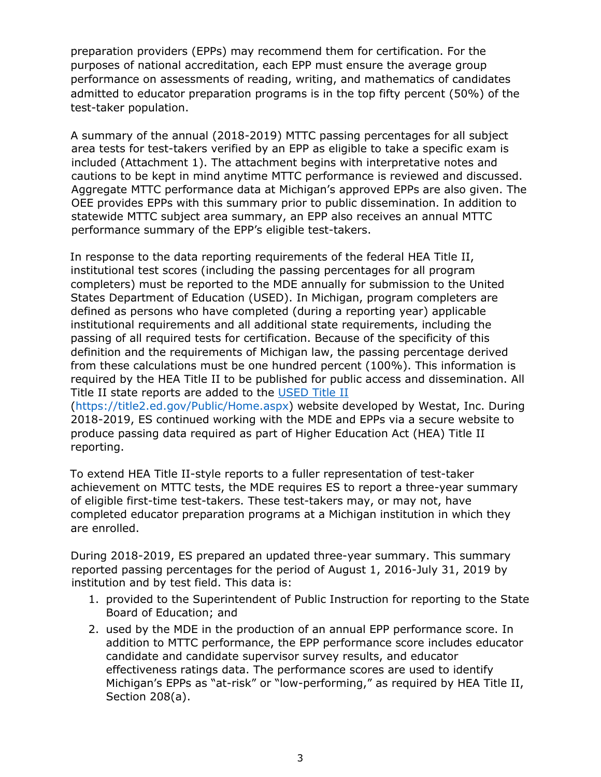preparation providers (EPPs) may recommend them for certification. For the purposes of national accreditation, each EPP must ensure the average group performance on assessments of reading, writing, and mathematics of candidates admitted to educator preparation programs is in the top fifty percent (50%) of the test-taker population.

A summary of the annual (2018-2019) MTTC passing percentages for all subject area tests for test-takers verified by an EPP as eligible to take a specific exam is included (Attachment 1). The attachment begins with interpretative notes and cautions to be kept in mind anytime MTTC performance is reviewed and discussed. Aggregate MTTC performance data at Michigan's approved EPPs are also given. The OEE provides EPPs with this summary prior to public dissemination. In addition to statewide MTTC subject area summary, an EPP also receives an annual MTTC performance summary of the EPP's eligible test-takers.

In response to the data reporting requirements of the federal HEA Title II, institutional test scores (including the passing percentages for all program completers) must be reported to the MDE annually for submission to the United States Department of Education (USED). In Michigan, program completers are defined as persons who have completed (during a reporting year) applicable institutional requirements and all additional state requirements, including the passing of all required tests for certification. Because of the specificity of this definition and the requirements of Michigan law, the passing percentage derived from these calculations must be one hundred percent (100%). This information is required by the HEA Title II to be published for public access and dissemination. All Title II state reports are added to the [USED Title II](https://title2.ed.gov/Public/Home.aspx)

[\(https://title2.ed.gov/Public/Home.aspx\)](https://title2.ed.gov/Public/Home.aspx) website developed by Westat, Inc. During 2018-2019, ES continued working with the MDE and EPPs via a secure website to produce passing data required as part of Higher Education Act (HEA) Title II reporting.

To extend HEA Title II-style reports to a fuller representation of test-taker achievement on MTTC tests, the MDE requires ES to report a three-year summary of eligible first-time test-takers. These test-takers may, or may not, have completed educator preparation programs at a Michigan institution in which they are enrolled.

During 2018-2019, ES prepared an updated three-year summary. This summary reported passing percentages for the period of August 1, 2016-July 31, 2019 by institution and by test field. This data is:

- 1. provided to the Superintendent of Public Instruction for reporting to the State Board of Education; and
- 2. used by the MDE in the production of an annual EPP performance score. In addition to MTTC performance, the EPP performance score includes educator candidate and candidate supervisor survey results, and educator effectiveness ratings data. The performance scores are used to identify Michigan's EPPs as "at-risk" or "low-performing," as required by HEA Title II, Section 208(a).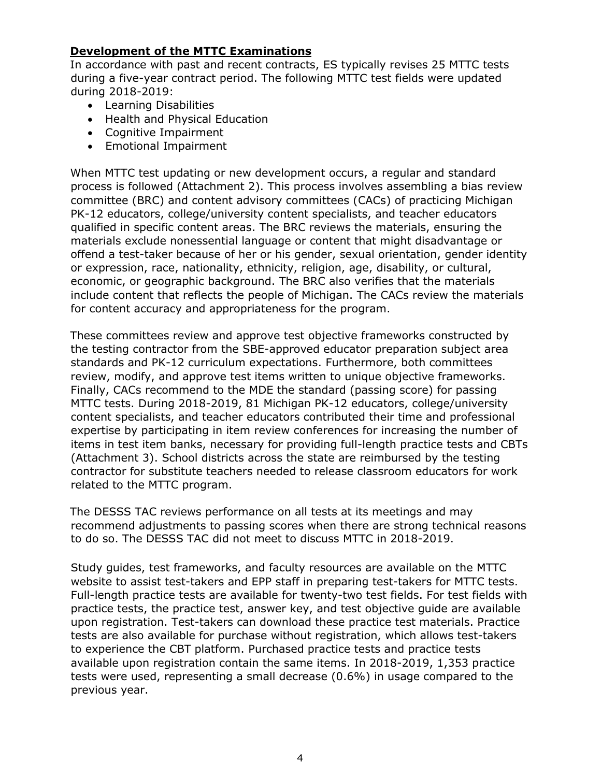# **Development of the MTTC Examinations**

In accordance with past and recent contracts, ES typically revises 25 MTTC tests during a five-year contract period. The following MTTC test fields were updated during 2018-2019:

- Learning Disabilities
- Health and Physical Education
- Cognitive Impairment
- Emotional Impairment

When MTTC test updating or new development occurs, a regular and standard process is followed (Attachment 2). This process involves assembling a bias review committee (BRC) and content advisory committees (CACs) of practicing Michigan PK-12 educators, college/university content specialists, and teacher educators qualified in specific content areas. The BRC reviews the materials, ensuring the materials exclude nonessential language or content that might disadvantage or offend a test-taker because of her or his gender, sexual orientation, gender identity or expression, race, nationality, ethnicity, religion, age, disability, or cultural, economic, or geographic background. The BRC also verifies that the materials include content that reflects the people of Michigan. The CACs review the materials for content accuracy and appropriateness for the program.

These committees review and approve test objective frameworks constructed by the testing contractor from the SBE-approved educator preparation subject area standards and PK-12 curriculum expectations. Furthermore, both committees review, modify, and approve test items written to unique objective frameworks. Finally, CACs recommend to the MDE the standard (passing score) for passing MTTC tests. During 2018-2019, 81 Michigan PK-12 educators, college/university content specialists, and teacher educators contributed their time and professional expertise by participating in item review conferences for increasing the number of items in test item banks, necessary for providing full-length practice tests and CBTs (Attachment 3). School districts across the state are reimbursed by the testing contractor for substitute teachers needed to release classroom educators for work related to the MTTC program.

The DESSS TAC reviews performance on all tests at its meetings and may recommend adjustments to passing scores when there are strong technical reasons to do so. The DESSS TAC did not meet to discuss MTTC in 2018-2019.

Study guides, test frameworks, and faculty resources are available on the MTTC website to assist test-takers and EPP staff in preparing test-takers for MTTC tests. Full-length practice tests are available for twenty-two test fields. For test fields with practice tests, the practice test, answer key, and test objective guide are available upon registration. Test-takers can download these practice test materials. Practice tests are also available for purchase without registration, which allows test-takers to experience the CBT platform. Purchased practice tests and practice tests available upon registration contain the same items. In 2018-2019, 1,353 practice tests were used, representing a small decrease (0.6%) in usage compared to the previous year.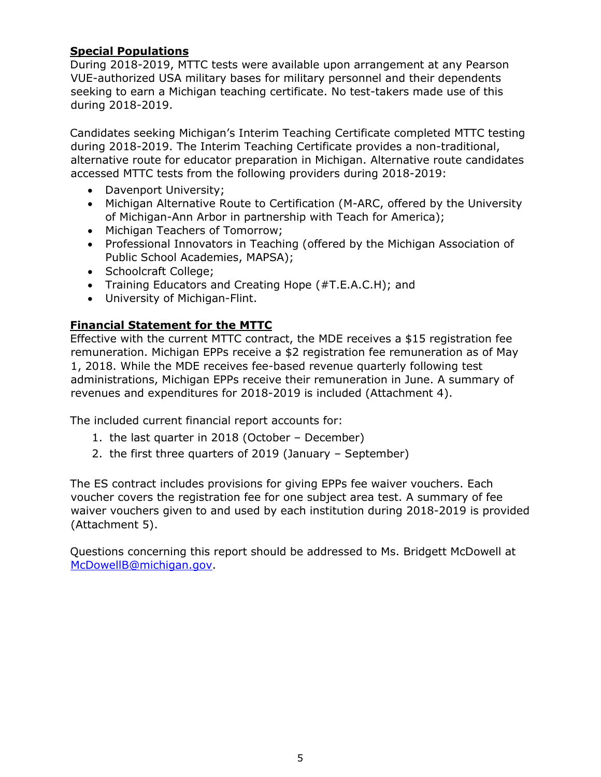# **Special Populations**

During 2018-2019, MTTC tests were available upon arrangement at any Pearson VUE-authorized USA military bases for military personnel and their dependents seeking to earn a Michigan teaching certificate. No test-takers made use of this during 2018-2019.

Candidates seeking Michigan's Interim Teaching Certificate completed MTTC testing during 2018-2019. The Interim Teaching Certificate provides a non-traditional, alternative route for educator preparation in Michigan. Alternative route candidates accessed MTTC tests from the following providers during 2018-2019:

- Davenport University;
- Michigan Alternative Route to Certification (M-ARC, offered by the University of Michigan-Ann Arbor in partnership with Teach for America);
- Michigan Teachers of Tomorrow;
- Professional Innovators in Teaching (offered by the Michigan Association of Public School Academies, MAPSA);
- Schoolcraft College:
- Training Educators and Creating Hope (#T.E.A.C.H); and
- University of Michigan-Flint.

# **Financial Statement for the MTTC**

Effective with the current MTTC contract, the MDE receives a \$15 registration fee remuneration. Michigan EPPs receive a \$2 registration fee remuneration as of May 1, 2018. While the MDE receives fee-based revenue quarterly following test administrations, Michigan EPPs receive their remuneration in June. A summary of revenues and expenditures for 2018-2019 is included (Attachment 4).

The included current financial report accounts for:

- 1. the last quarter in 2018 (October December)
- 2. the first three quarters of 2019 (January September)

The ES contract includes provisions for giving EPPs fee waiver vouchers. Each voucher covers the registration fee for one subject area test. A summary of fee waiver vouchers given to and used by each institution during 2018-2019 is provided (Attachment 5).

Questions concerning this report should be addressed to Ms. Bridgett McDowell at McDowellB@michigan.gov.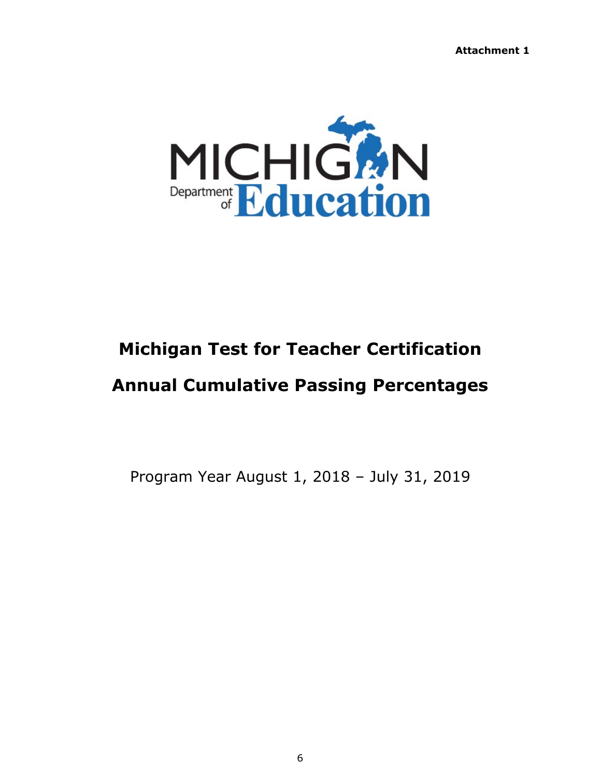**Attachment 1**



# **Michigan Test for Teacher Certification**

# **Annual Cumulative Passing Percentages**

Program Year August 1, 2018 – July 31, 2019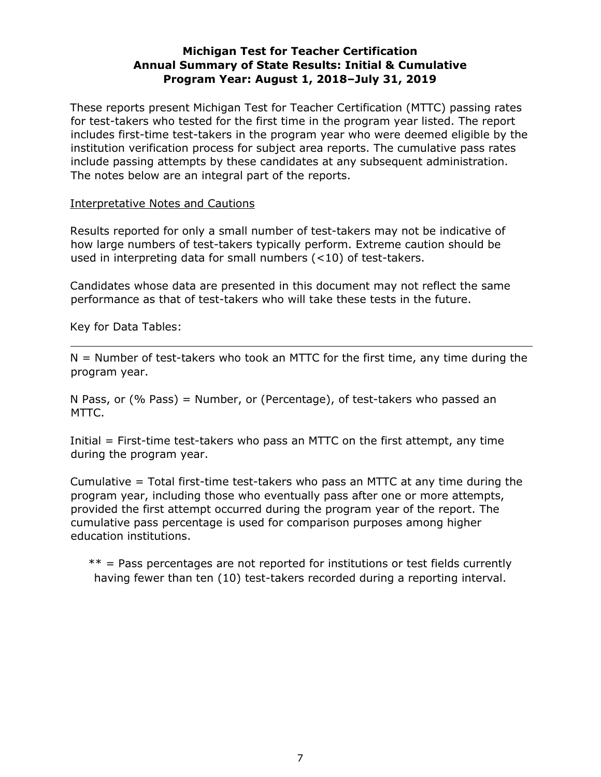# **Michigan Test for Teacher Certification Annual Summary of State Results: Initial & Cumulative Program Year: August 1, 2018–July 31, 2019**

These reports present Michigan Test for Teacher Certification (MTTC) passing rates for test-takers who tested for the first time in the program year listed. The report includes first-time test-takers in the program year who were deemed eligible by the institution verification process for subject area reports. The cumulative pass rates include passing attempts by these candidates at any subsequent administration. The notes below are an integral part of the reports.

#### Interpretative Notes and Cautions

Results reported for only a small number of test-takers may not be indicative of how large numbers of test-takers typically perform. Extreme caution should be used in interpreting data for small numbers (<10) of test-takers.

Candidates whose data are presented in this document may not reflect the same performance as that of test-takers who will take these tests in the future.

Key for Data Tables:

 $N =$  Number of test-takers who took an MTTC for the first time, any time during the program year.

N Pass, or (% Pass) = Number, or (Percentage), of test-takers who passed an MTTC.

Initial = First-time test-takers who pass an MTTC on the first attempt, any time during the program year.

Cumulative  $=$  Total first-time test-takers who pass an MTTC at any time during the program year, including those who eventually pass after one or more attempts, provided the first attempt occurred during the program year of the report. The cumulative pass percentage is used for comparison purposes among higher education institutions.

 $**$  = Pass percentages are not reported for institutions or test fields currently having fewer than ten (10) test-takers recorded during a reporting interval.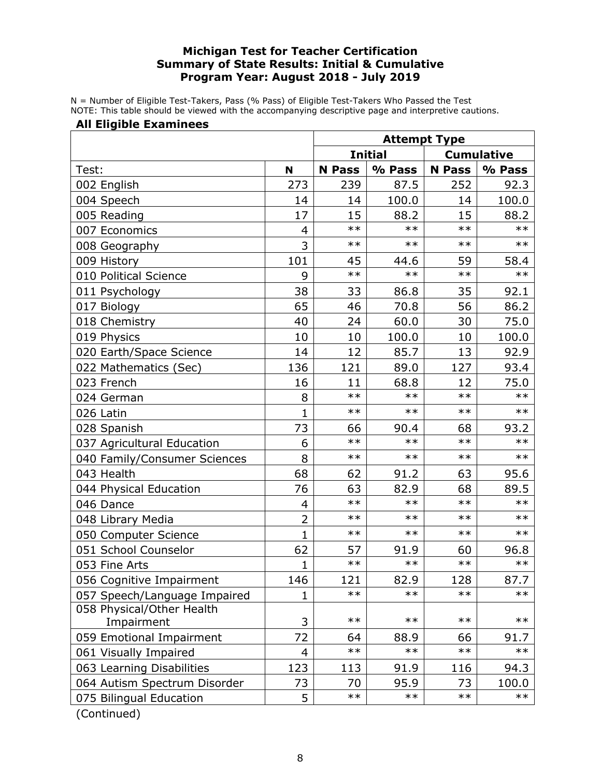## **Michigan Test for Teacher Certification Summary of State Results: Initial & Cumulative Program Year: August 2018 - July 2019**

N = Number of Eligible Test-Takers, Pass (% Pass) of Eligible Test-Takers Who Passed the Test NOTE: This table should be viewed with the accompanying descriptive page and interpretive cautions.

#### **All Eligible Examinees**

|                                                  |                | <b>Attempt Type</b>                 |            |               |        |
|--------------------------------------------------|----------------|-------------------------------------|------------|---------------|--------|
|                                                  |                | <b>Initial</b><br><b>Cumulative</b> |            |               |        |
| Test:                                            | N              | <b>N</b> Pass                       | % Pass     | <b>N</b> Pass | % Pass |
| 002 English                                      | 273            | 239                                 | 87.5       | 252           | 92.3   |
| 004 Speech                                       | 14             | 14                                  | 100.0      | 14            | 100.0  |
| 005 Reading                                      | 17             | 15                                  | 88.2       | 15            | 88.2   |
| 007 Economics                                    | 4              | $***$                               | $***$      | $**$          | $**$   |
| 008 Geography                                    | 3              | $***$                               | $***$      | $**$          | $***$  |
| 009 History                                      | 101            | 45                                  | 44.6       | 59            | 58.4   |
| 010 Political Science                            | 9              | $**$                                | $**$       | $**$          | $**$   |
| 011 Psychology                                   | 38             | 33                                  | 86.8       | 35            | 92.1   |
| 017 Biology                                      | 65             | 46                                  | 70.8       | 56            | 86.2   |
| 018 Chemistry                                    | 40             | 24                                  | 60.0       | 30            | 75.0   |
| 019 Physics                                      | 10             | 10                                  | 100.0      | 10            | 100.0  |
| 020 Earth/Space Science                          | 14             | 12                                  | 85.7       | 13            | 92.9   |
| 022 Mathematics (Sec)                            | 136            | 121                                 | 89.0       | 127           | 93.4   |
| 023 French                                       | 16             | 11                                  | 68.8       | 12            | 75.0   |
| 024 German                                       | 8              | $***$                               | $***$      | $**$          | $**$   |
| 026 Latin                                        | $\mathbf{1}$   | $***$                               | $***$      | $***$         | $***$  |
| 028 Spanish                                      | 73             | 66                                  | 90.4       | 68            | 93.2   |
| 037 Agricultural Education                       | 6              | $**$                                | $**$       | $**$          | $**$   |
| 040 Family/Consumer Sciences                     | 8              | $***$                               | $***$      | $***$         | $***$  |
| 043 Health                                       | 68             | 62                                  | 91.2       | 63            | 95.6   |
| 044 Physical Education                           | 76             | 63                                  | 82.9       | 68            | 89.5   |
| 046 Dance                                        | 4              | $***$                               | $***$      | $***$         | $***$  |
| 048 Library Media                                | $\overline{2}$ | $***$                               | $***$      | $**$          | $**$   |
| 050 Computer Science                             | $\mathbf{1}$   | $***$                               | $***$      | $**$          | $***$  |
| 051 School Counselor                             | 62             | 57                                  | 91.9       | 60            | 96.8   |
| 053 Fine Arts                                    | $\overline{1}$ | $**$                                | $\ast\ast$ | $**$          | $**$   |
| 056 Cognitive Impairment                         | 146            | 121                                 | 82.9       | 128           | 87.7   |
| 057 Speech/Language Impaired                     | 1              | $\ast\ast$                          | $***$      | $***$         | $***$  |
| 058 Physical/Other Health                        |                |                                     |            |               |        |
| Impairment                                       | 3              | $***$                               | $***$      | $***$         | $***$  |
| 059 Emotional Impairment                         | 72             | 64                                  | 88.9       | 66            | 91.7   |
| 061 Visually Impaired                            | 4              | $**$                                | $***$      | $**$          | $**$   |
| 063 Learning Disabilities                        | 123            | 113                                 | 91.9       | 116           | 94.3   |
| 064 Autism Spectrum Disorder                     | 73             | 70                                  | 95.9       | 73            | 100.0  |
| 075 Bilingual Education<br>$\sum_{n=1}^{\infty}$ | 5              | $\ast\ast$                          | $***$      | $**$          | $***$  |

(Continued)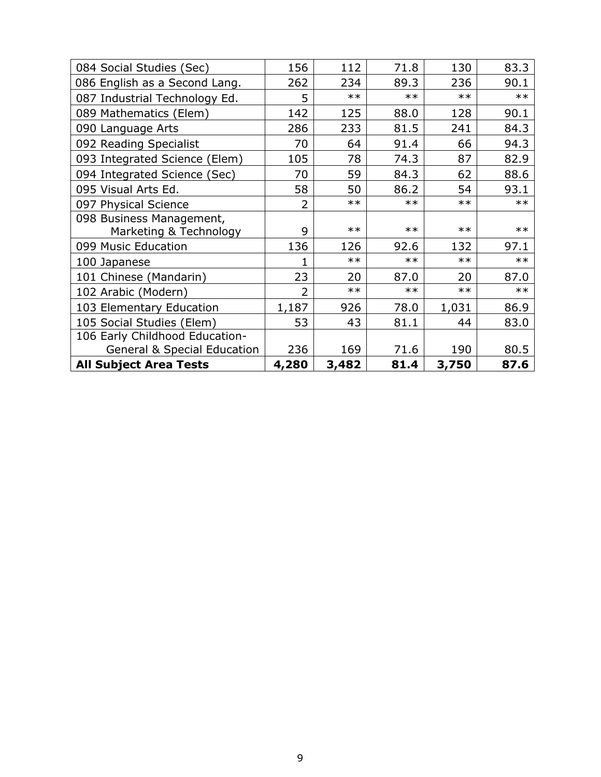| 084 Social Studies (Sec)       | 156            | 112   | 71.8  | 130   | 83.3  |
|--------------------------------|----------------|-------|-------|-------|-------|
| 086 English as a Second Lang.  | 262            | 234   | 89.3  | 236   | 90.1  |
| 087 Industrial Technology Ed.  | 5              | $**$  | $***$ | $**$  | $**$  |
| 089 Mathematics (Elem)         | 142            | 125   | 88.0  | 128   | 90.1  |
| 090 Language Arts              | 286            | 233   | 81.5  | 241   | 84.3  |
| 092 Reading Specialist         | 70             | 64    | 91.4  | 66    | 94.3  |
| 093 Integrated Science (Elem)  | 105            | 78    | 74.3  | 87    | 82.9  |
| 094 Integrated Science (Sec)   | 70             | 59    | 84.3  | 62    | 88.6  |
| 095 Visual Arts Ed.            | 58             | 50    | 86.2  | 54    | 93.1  |
| 097 Physical Science           | 2              | $**$  | $**$  | $**$  | $**$  |
| 098 Business Management,       |                |       |       |       |       |
| Marketing & Technology         | 9              | $**$  | $***$ | $**$  | $**$  |
| 099 Music Education            | 136            | 126   | 92.6  | 132   | 97.1  |
| 100 Japanese                   | 1              | $**$  | $***$ | $**$  | $**$  |
| 101 Chinese (Mandarin)         | 23             | 20    | 87.0  | 20    | 87.0  |
| 102 Arabic (Modern)            | $\overline{2}$ | $**$  | $***$ | $**$  | $***$ |
| 103 Elementary Education       | 1,187          | 926   | 78.0  | 1,031 | 86.9  |
| 105 Social Studies (Elem)      | 53             | 43    | 81.1  | 44    | 83.0  |
| 106 Early Childhood Education- |                |       |       |       |       |
| General & Special Education    | 236            | 169   | 71.6  | 190   | 80.5  |
| <b>All Subject Area Tests</b>  | 4,280          | 3,482 | 81.4  | 3,750 | 87.6  |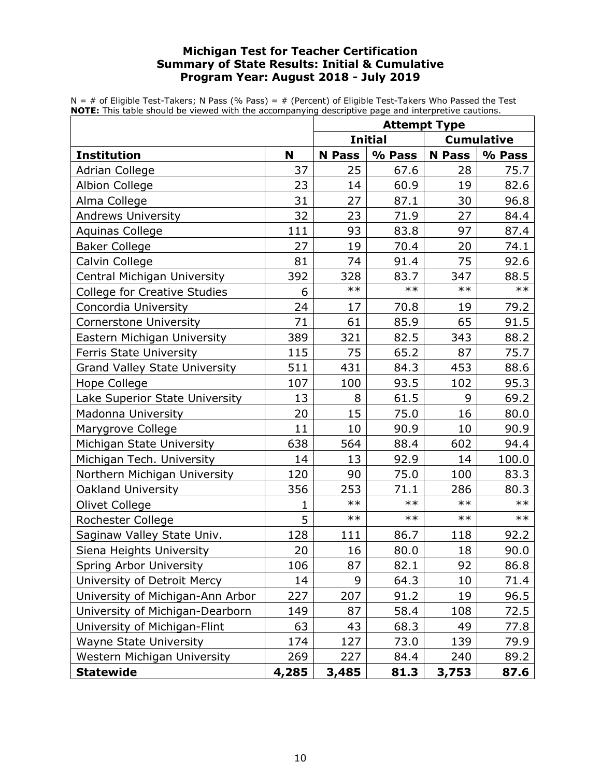## **Michigan Test for Teacher Certification Summary of State Results: Initial & Cumulative Program Year: August 2018 - July 2019**

 $N = #$  of Eligible Test-Takers; N Pass (% Pass) =  $#$  (Percent) of Eligible Test-Takers Who Passed the Test **NOTE:** This table should be viewed with the accompanying descriptive page and interpretive cautions.

|                                      |       | <b>Attempt Type</b>                 |        |               |        |
|--------------------------------------|-------|-------------------------------------|--------|---------------|--------|
|                                      |       | <b>Initial</b><br><b>Cumulative</b> |        |               |        |
| <b>Institution</b>                   | N     | <b>N</b> Pass                       | % Pass | <b>N</b> Pass | % Pass |
| <b>Adrian College</b>                | 37    | 25                                  | 67.6   | 28            | 75.7   |
| <b>Albion College</b>                | 23    | 14                                  | 60.9   | 19            | 82.6   |
| Alma College                         | 31    | 27                                  | 87.1   | 30            | 96.8   |
| <b>Andrews University</b>            | 32    | 23                                  | 71.9   | 27            | 84.4   |
| Aquinas College                      | 111   | 93                                  | 83.8   | 97            | 87.4   |
| <b>Baker College</b>                 | 27    | 19                                  | 70.4   | 20            | 74.1   |
| Calvin College                       | 81    | 74                                  | 91.4   | 75            | 92.6   |
| Central Michigan University          | 392   | 328                                 | 83.7   | 347           | 88.5   |
| <b>College for Creative Studies</b>  | 6     | $***$                               | $**$   | $***$         | $***$  |
| Concordia University                 | 24    | 17                                  | 70.8   | 19            | 79.2   |
| <b>Cornerstone University</b>        | 71    | 61                                  | 85.9   | 65            | 91.5   |
| Eastern Michigan University          | 389   | 321                                 | 82.5   | 343           | 88.2   |
| <b>Ferris State University</b>       | 115   | 75                                  | 65.2   | 87            | 75.7   |
| <b>Grand Valley State University</b> | 511   | 431                                 | 84.3   | 453           | 88.6   |
| Hope College                         | 107   | 100                                 | 93.5   | 102           | 95.3   |
| Lake Superior State University       | 13    | 8                                   | 61.5   | 9             | 69.2   |
| Madonna University                   | 20    | 15                                  | 75.0   | 16            | 80.0   |
| Marygrove College                    | 11    | 10                                  | 90.9   | 10            | 90.9   |
| Michigan State University            | 638   | 564                                 | 88.4   | 602           | 94.4   |
| Michigan Tech. University            | 14    | 13                                  | 92.9   | 14            | 100.0  |
| Northern Michigan University         | 120   | 90                                  | 75.0   | 100           | 83.3   |
| <b>Oakland University</b>            | 356   | 253                                 | 71.1   | 286           | 80.3   |
| Olivet College                       | 1     | $**$                                | $**$   | $***$         | $**$   |
| Rochester College                    | 5     | $***$                               | $***$  | $***$         | $***$  |
| Saginaw Valley State Univ.           | 128   | 111                                 | 86.7   | 118           | 92.2   |
| Siena Heights University             | 20    | 16                                  | 80.0   | 18            | 90.0   |
| Spring Arbor University              | 106   | 87                                  | 82.1   | 92            | 86.8   |
| University of Detroit Mercy          | 14    | 9                                   | 64.3   | 10            | 71.4   |
| University of Michigan-Ann Arbor     | 227   | 207                                 | 91.2   | 19            | 96.5   |
| University of Michigan-Dearborn      | 149   | 87                                  | 58.4   | 108           | 72.5   |
| University of Michigan-Flint         | 63    | 43                                  | 68.3   | 49            | 77.8   |
| <b>Wayne State University</b>        | 174   | 127                                 | 73.0   | 139           | 79.9   |
| Western Michigan University          | 269   | 227                                 | 84.4   | 240           | 89.2   |
| <b>Statewide</b>                     | 4,285 | 3,485                               | 81.3   | 3,753         | 87.6   |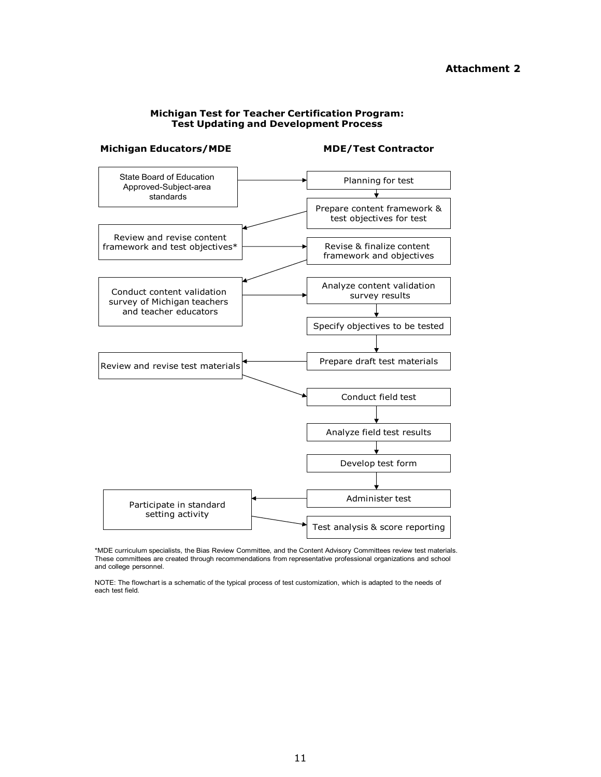#### **Attachment 2**

#### **Michigan Test for Teacher Certification Program: Test Updating and Development Process**



\*MDE curriculum specialists, the Bias Review Committee, and the Content Advisory Committees review test materials. These committees are created through recommendations from representative professional organizations and school and college personnel.

NOTE: The flowchart is a schematic of the typical process of test customization, which is adapted to the needs of each test field.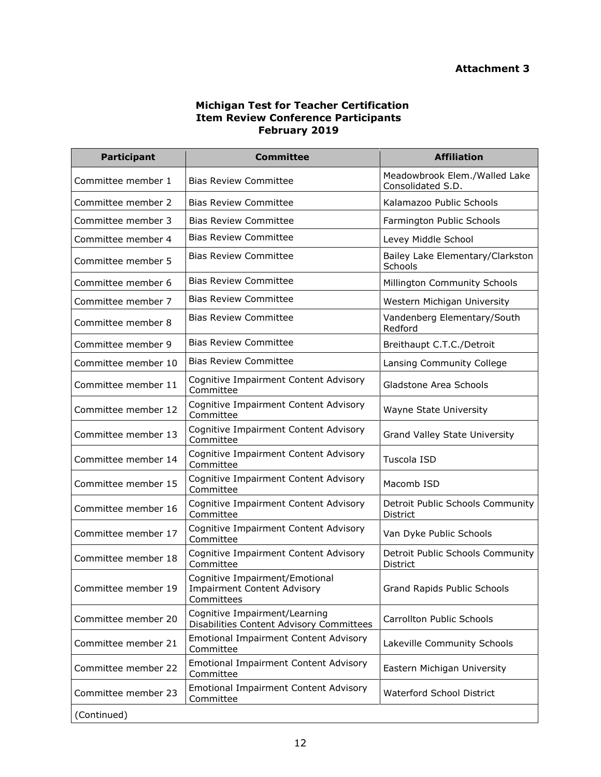#### **Michigan Test for Teacher Certification Item Review Conference Participants February 2019**

| <b>Participant</b>  | <b>Committee</b>                                                                   | <b>Affiliation</b>                                 |
|---------------------|------------------------------------------------------------------------------------|----------------------------------------------------|
| Committee member 1  | <b>Bias Review Committee</b>                                                       | Meadowbrook Elem./Walled Lake<br>Consolidated S.D. |
| Committee member 2  | <b>Bias Review Committee</b>                                                       | Kalamazoo Public Schools                           |
| Committee member 3  | <b>Bias Review Committee</b>                                                       | Farmington Public Schools                          |
| Committee member 4  | <b>Bias Review Committee</b>                                                       | Levey Middle School                                |
| Committee member 5  | <b>Bias Review Committee</b>                                                       | Bailey Lake Elementary/Clarkston<br>Schools        |
| Committee member 6  | <b>Bias Review Committee</b>                                                       | Millington Community Schools                       |
| Committee member 7  | <b>Bias Review Committee</b>                                                       | Western Michigan University                        |
| Committee member 8  | <b>Bias Review Committee</b>                                                       | Vandenberg Elementary/South<br>Redford             |
| Committee member 9  | <b>Bias Review Committee</b>                                                       | Breithaupt C.T.C./Detroit                          |
| Committee member 10 | <b>Bias Review Committee</b>                                                       | Lansing Community College                          |
| Committee member 11 | Cognitive Impairment Content Advisory<br>Committee                                 | Gladstone Area Schools                             |
| Committee member 12 | Cognitive Impairment Content Advisory<br>Committee                                 | Wayne State University                             |
| Committee member 13 | Cognitive Impairment Content Advisory<br>Committee                                 | Grand Valley State University                      |
| Committee member 14 | Cognitive Impairment Content Advisory<br>Committee                                 | Tuscola ISD                                        |
| Committee member 15 | Cognitive Impairment Content Advisory<br>Committee                                 | Macomb ISD                                         |
| Committee member 16 | Cognitive Impairment Content Advisory<br>Committee                                 | Detroit Public Schools Community<br>District       |
| Committee member 17 | Cognitive Impairment Content Advisory<br>Committee                                 | Van Dyke Public Schools                            |
| Committee member 18 | Cognitive Impairment Content Advisory<br>Committee                                 | Detroit Public Schools Community<br>District       |
| Committee member 19 | Cognitive Impairment/Emotional<br><b>Impairment Content Advisory</b><br>Committees | Grand Rapids Public Schools                        |
| Committee member 20 | Cognitive Impairment/Learning<br>Disabilities Content Advisory Committees          | <b>Carrollton Public Schools</b>                   |
| Committee member 21 | <b>Emotional Impairment Content Advisory</b><br>Committee                          | Lakeville Community Schools                        |
| Committee member 22 | <b>Emotional Impairment Content Advisory</b><br>Committee                          | Eastern Michigan University                        |
| Committee member 23 | <b>Emotional Impairment Content Advisory</b><br>Committee                          | Waterford School District                          |
| (Continued)         |                                                                                    |                                                    |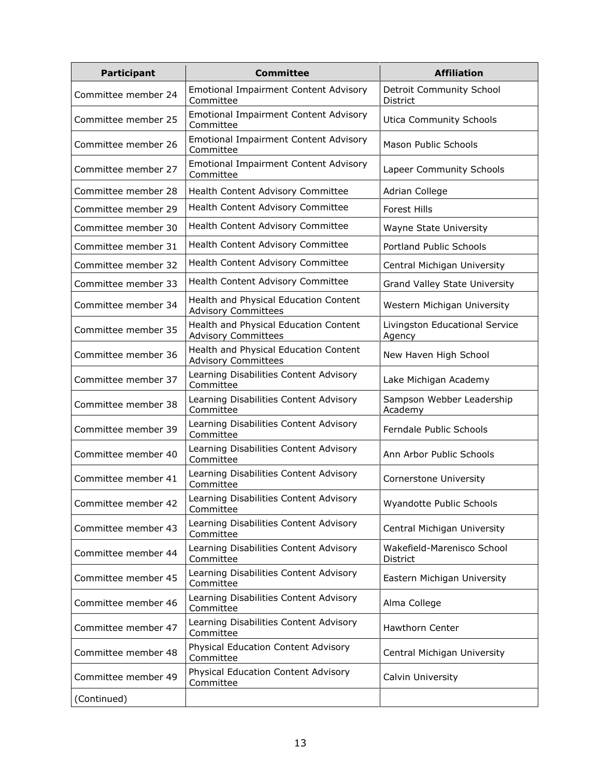| <b>Participant</b>  | <b>Committee</b>                                                    | <b>Affiliation</b>                          |
|---------------------|---------------------------------------------------------------------|---------------------------------------------|
| Committee member 24 | <b>Emotional Impairment Content Advisory</b><br>Committee           | <b>Detroit Community School</b><br>District |
| Committee member 25 | <b>Emotional Impairment Content Advisory</b><br>Committee           | <b>Utica Community Schools</b>              |
| Committee member 26 | <b>Emotional Impairment Content Advisory</b><br>Committee           | <b>Mason Public Schools</b>                 |
| Committee member 27 | <b>Emotional Impairment Content Advisory</b><br>Committee           | Lapeer Community Schools                    |
| Committee member 28 | Health Content Advisory Committee                                   | Adrian College                              |
| Committee member 29 | Health Content Advisory Committee                                   | <b>Forest Hills</b>                         |
| Committee member 30 | Health Content Advisory Committee                                   | Wayne State University                      |
| Committee member 31 | Health Content Advisory Committee                                   | Portland Public Schools                     |
| Committee member 32 | Health Content Advisory Committee                                   | Central Michigan University                 |
| Committee member 33 | Health Content Advisory Committee                                   | Grand Valley State University               |
| Committee member 34 | Health and Physical Education Content<br><b>Advisory Committees</b> | Western Michigan University                 |
| Committee member 35 | Health and Physical Education Content<br><b>Advisory Committees</b> | Livingston Educational Service<br>Agency    |
| Committee member 36 | Health and Physical Education Content<br><b>Advisory Committees</b> | New Haven High School                       |
| Committee member 37 | Learning Disabilities Content Advisory<br>Committee                 | Lake Michigan Academy                       |
| Committee member 38 | Learning Disabilities Content Advisory<br>Committee                 | Sampson Webber Leadership<br>Academy        |
| Committee member 39 | Learning Disabilities Content Advisory<br>Committee                 | Ferndale Public Schools                     |
| Committee member 40 | Learning Disabilities Content Advisory<br>Committee                 | Ann Arbor Public Schools                    |
| Committee member 41 | Learning Disabilities Content Advisory<br>Committee                 | Cornerstone University                      |
| Committee member 42 | Learning Disabilities Content Advisory<br>Committee                 | Wyandotte Public Schools                    |
| Committee member 43 | Learning Disabilities Content Advisory<br>Committee                 | Central Michigan University                 |
| Committee member 44 | Learning Disabilities Content Advisory<br>Committee                 | Wakefield-Marenisco School<br>District      |
| Committee member 45 | Learning Disabilities Content Advisory<br>Committee                 | Eastern Michigan University                 |
| Committee member 46 | Learning Disabilities Content Advisory<br>Committee                 | Alma College                                |
| Committee member 47 | Learning Disabilities Content Advisory<br>Committee                 | Hawthorn Center                             |
| Committee member 48 | Physical Education Content Advisory<br>Committee                    | Central Michigan University                 |
| Committee member 49 | Physical Education Content Advisory<br>Committee                    | Calvin University                           |
| (Continued)         |                                                                     |                                             |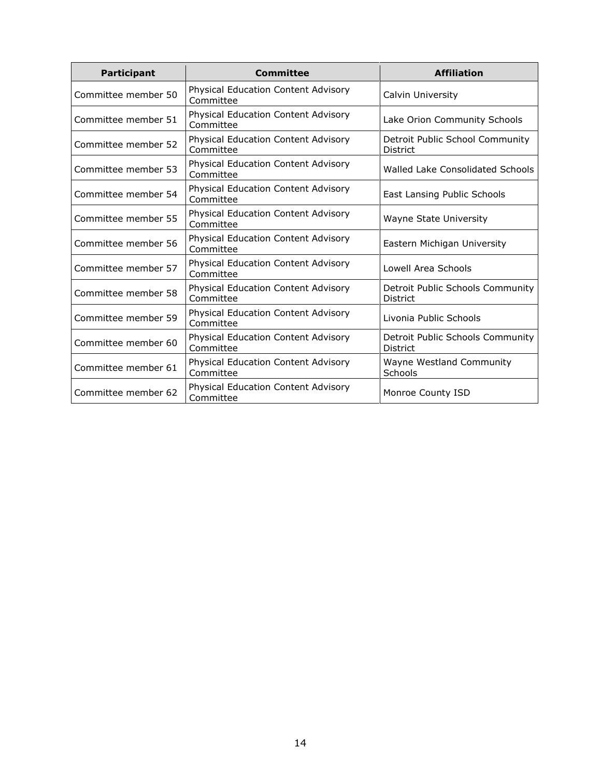| <b>Participant</b>  | <b>Committee</b>                                        | <b>Affiliation</b>                                  |
|---------------------|---------------------------------------------------------|-----------------------------------------------------|
| Committee member 50 | Physical Education Content Advisory<br>Committee        | Calvin University                                   |
| Committee member 51 | Physical Education Content Advisory<br>Committee        | Lake Orion Community Schools                        |
| Committee member 52 | Physical Education Content Advisory<br>Committee        | Detroit Public School Community<br><b>District</b>  |
| Committee member 53 | Physical Education Content Advisory<br>Committee        | Walled Lake Consolidated Schools                    |
| Committee member 54 | Physical Education Content Advisory<br>Committee        | East Lansing Public Schools                         |
| Committee member 55 | Physical Education Content Advisory<br>Committee        | Wayne State University                              |
| Committee member 56 | Physical Education Content Advisory<br>Committee        | Eastern Michigan University                         |
| Committee member 57 | Physical Education Content Advisory<br>Committee        | Lowell Area Schools                                 |
| Committee member 58 | Physical Education Content Advisory<br>Committee        | Detroit Public Schools Community<br><b>District</b> |
| Committee member 59 | <b>Physical Education Content Advisory</b><br>Committee | Livonia Public Schools                              |
| Committee member 60 | Physical Education Content Advisory<br>Committee        | Detroit Public Schools Community<br>District        |
| Committee member 61 | Physical Education Content Advisory<br>Committee        | Wayne Westland Community<br>Schools                 |
| Committee member 62 | Physical Education Content Advisory<br>Committee        | Monroe County ISD                                   |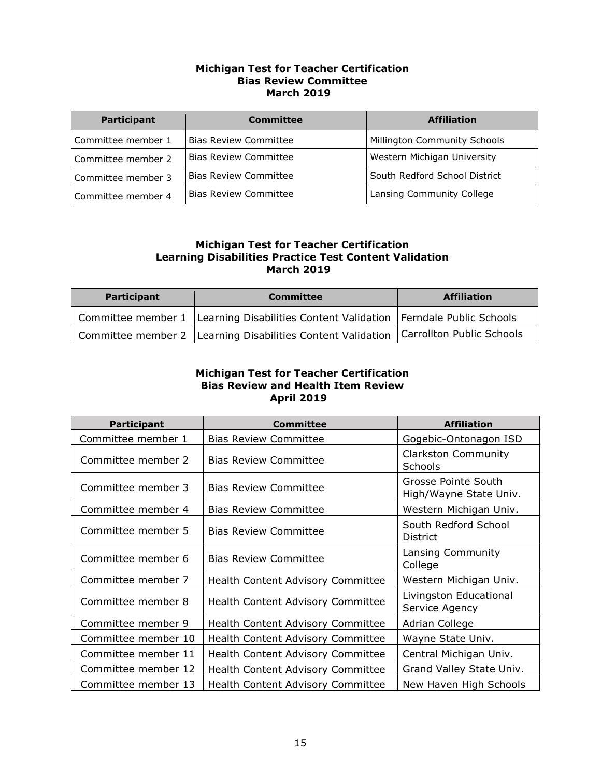#### **Michigan Test for Teacher Certification Bias Review Committee March 2019**

| Participant        | Committee                    | <b>Affiliation</b>            |
|--------------------|------------------------------|-------------------------------|
| Committee member 1 | <b>Bias Review Committee</b> | Millington Community Schools  |
| Committee member 2 | <b>Bias Review Committee</b> | Western Michigan University   |
| Committee member 3 | <b>Bias Review Committee</b> | South Redford School District |
| Committee member 4 | <b>Bias Review Committee</b> | Lansing Community College     |

#### **Michigan Test for Teacher Certification Learning Disabilities Practice Test Content Validation March 2019**

| Participant | <b>Committee</b>                                                                          | <b>Affiliation</b> |
|-------------|-------------------------------------------------------------------------------------------|--------------------|
|             | Committee member 1   Learning Disabilities Content Validation   Ferndale Public Schools   |                    |
|             | Committee member 2   Learning Disabilities Content Validation   Carrollton Public Schools |                    |

#### **Michigan Test for Teacher Certification Bias Review and Health Item Review April 2019**

| <b>Participant</b>  | <b>Committee</b>                         | <b>Affiliation</b>                            |
|---------------------|------------------------------------------|-----------------------------------------------|
| Committee member 1  | <b>Bias Review Committee</b>             | Gogebic-Ontonagon ISD                         |
| Committee member 2  | <b>Bias Review Committee</b>             | <b>Clarkston Community</b><br>Schools         |
| Committee member 3  | <b>Bias Review Committee</b>             | Grosse Pointe South<br>High/Wayne State Univ. |
| Committee member 4  | <b>Bias Review Committee</b>             | Western Michigan Univ.                        |
| Committee member 5  | <b>Bias Review Committee</b>             | South Redford School<br><b>District</b>       |
| Committee member 6  | <b>Bias Review Committee</b>             | Lansing Community<br>College                  |
| Committee member 7  | <b>Health Content Advisory Committee</b> | Western Michigan Univ.                        |
| Committee member 8  | <b>Health Content Advisory Committee</b> | Livingston Educational<br>Service Agency      |
| Committee member 9  | <b>Health Content Advisory Committee</b> | Adrian College                                |
| Committee member 10 | <b>Health Content Advisory Committee</b> | Wayne State Univ.                             |
| Committee member 11 | Health Content Advisory Committee        | Central Michigan Univ.                        |
| Committee member 12 | <b>Health Content Advisory Committee</b> | Grand Valley State Univ.                      |
| Committee member 13 | <b>Health Content Advisory Committee</b> | New Haven High Schools                        |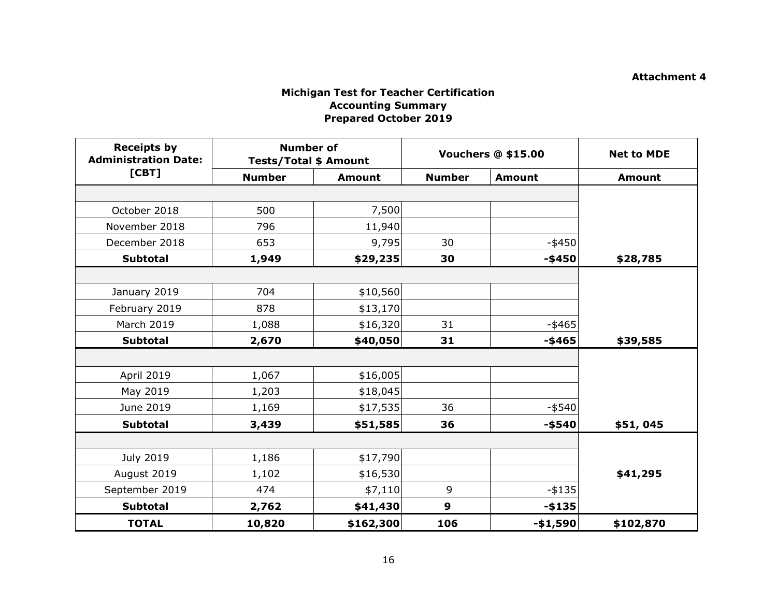#### **Attachment 4**

## **Michigan Test for Teacher Certification Accounting Summary Prepared October 2019**

| <b>Receipts by</b><br><b>Administration Date:</b> | <b>Number of</b><br><b>Tests/Total \$ Amount</b> |               |                  | <b>Vouchers @ \$15.00</b> | <b>Net to MDE</b> |
|---------------------------------------------------|--------------------------------------------------|---------------|------------------|---------------------------|-------------------|
| [CBT]                                             | <b>Number</b>                                    | <b>Amount</b> | <b>Number</b>    | <b>Amount</b>             | <b>Amount</b>     |
|                                                   |                                                  |               |                  |                           |                   |
| October 2018                                      | 500                                              | 7,500         |                  |                           |                   |
| November 2018                                     | 796                                              | 11,940        |                  |                           |                   |
| December 2018                                     | 653                                              | 9,795         | 30               | $-$ \$450                 |                   |
| <b>Subtotal</b>                                   | 1,949                                            | \$29,235      | 30               | $-$ \$450                 | \$28,785          |
|                                                   |                                                  |               |                  |                           |                   |
| January 2019                                      | 704                                              | \$10,560      |                  |                           |                   |
| February 2019                                     | 878                                              | \$13,170      |                  |                           |                   |
| <b>March 2019</b>                                 | 1,088                                            | \$16,320      | 31               | $-$ \$465                 |                   |
| <b>Subtotal</b>                                   | 2,670                                            | \$40,050      | 31               | $-$ \$465                 | \$39,585          |
|                                                   |                                                  |               |                  |                           |                   |
| April 2019                                        | 1,067                                            | \$16,005      |                  |                           |                   |
| May 2019                                          | 1,203                                            | \$18,045      |                  |                           |                   |
| June 2019                                         | 1,169                                            | \$17,535      | 36               | $-$ \$540                 |                   |
| <b>Subtotal</b>                                   | 3,439                                            | \$51,585      | 36               | $-$ \$540                 | \$51,045          |
|                                                   |                                                  |               |                  |                           |                   |
| July 2019                                         | 1,186                                            | \$17,790      |                  |                           |                   |
| August 2019                                       | 1,102                                            | \$16,530      |                  |                           | \$41,295          |
| September 2019                                    | 474                                              | \$7,110       | 9                | $-$ \$135                 |                   |
| <b>Subtotal</b>                                   | 2,762                                            | \$41,430      | $\boldsymbol{9}$ | $-$135$                   |                   |
| <b>TOTAL</b>                                      | 10,820                                           | \$162,300     | 106              | $- $1,590$                | \$102,870         |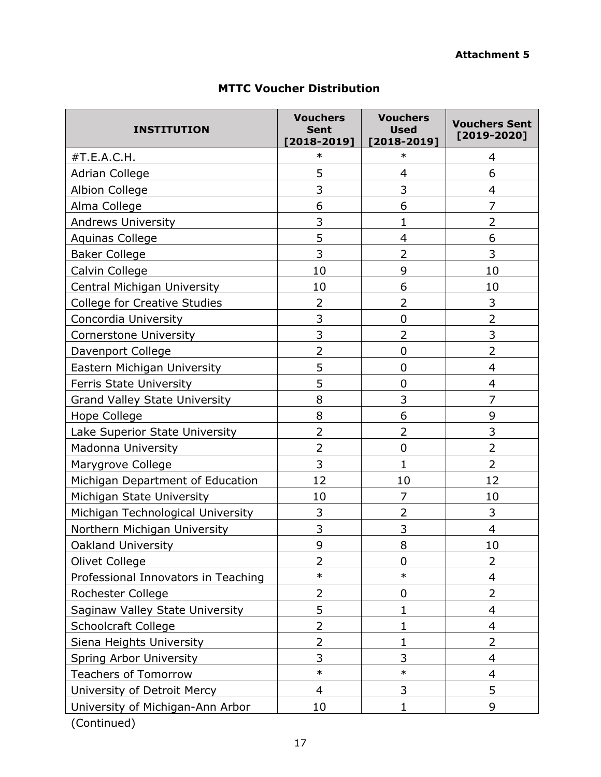| <b>INSTITUTION</b>                   | <b>Vouchers</b><br><b>Sent</b><br>$[2018 - 2019]$ | <b>Vouchers</b><br><b>Used</b><br>$[2018 - 2019]$ | <b>Vouchers Sent</b><br>$[2019 - 2020]$ |
|--------------------------------------|---------------------------------------------------|---------------------------------------------------|-----------------------------------------|
| #T.E.A.C.H.                          | $\ast$                                            | $\ast$                                            | 4                                       |
| <b>Adrian College</b>                | 5                                                 | 4                                                 | 6                                       |
| <b>Albion College</b>                | 3                                                 | 3                                                 | 4                                       |
| Alma College                         | 6                                                 | 6                                                 | 7                                       |
| <b>Andrews University</b>            | 3                                                 | 1                                                 | $\overline{2}$                          |
| <b>Aquinas College</b>               | 5                                                 | 4                                                 | 6                                       |
| <b>Baker College</b>                 | 3                                                 | $\overline{2}$                                    | 3                                       |
| Calvin College                       | 10                                                | 9                                                 | 10                                      |
| Central Michigan University          | 10                                                | 6                                                 | 10                                      |
| <b>College for Creative Studies</b>  | $\overline{2}$                                    | $\overline{2}$                                    | 3                                       |
| Concordia University                 | 3                                                 | $\mathbf 0$                                       | $\overline{2}$                          |
| <b>Cornerstone University</b>        | 3                                                 | $\overline{2}$                                    | 3                                       |
| Davenport College                    | $\overline{2}$                                    | $\mathbf 0$                                       | $\overline{2}$                          |
| Eastern Michigan University          | 5                                                 | $\mathbf 0$                                       | 4                                       |
| Ferris State University              | 5                                                 | $\mathbf 0$                                       | 4                                       |
| <b>Grand Valley State University</b> | 8                                                 | 3                                                 | 7                                       |
| Hope College                         | 8                                                 | 6                                                 | 9                                       |
| Lake Superior State University       | $\overline{2}$                                    | 2                                                 | 3                                       |
| Madonna University                   | $\overline{2}$                                    | $\mathbf 0$                                       | $\overline{2}$                          |
| Marygrove College                    | 3                                                 | 1                                                 | $\overline{2}$                          |
| Michigan Department of Education     | 12                                                | 10                                                | 12                                      |
| Michigan State University            | 10                                                | $\overline{7}$                                    | 10                                      |
| Michigan Technological University    | 3                                                 | $\overline{2}$                                    | 3                                       |
| Northern Michigan University         | 3                                                 | 3                                                 | $\overline{4}$                          |
| <b>Oakland University</b>            | 9                                                 | 8                                                 | 10                                      |
| Olivet College                       | $\overline{2}$                                    | $\mathbf 0$                                       | $\overline{2}$                          |
| Professional Innovators in Teaching  | $\ast$                                            | $\ast$                                            | 4                                       |
| Rochester College                    | $\overline{2}$                                    | 0                                                 | $\overline{2}$                          |
| Saginaw Valley State University      | 5                                                 | 1                                                 | 4                                       |
| <b>Schoolcraft College</b>           | $\overline{2}$                                    | 1                                                 | $\overline{4}$                          |
| Siena Heights University             | $\overline{2}$                                    | 1                                                 | 2                                       |
| Spring Arbor University              | 3                                                 | 3                                                 | $\overline{4}$                          |
| <b>Teachers of Tomorrow</b>          | $\ast$                                            | $\ast$                                            | 4                                       |
| University of Detroit Mercy          | $\overline{4}$                                    | 3                                                 | 5                                       |
| University of Michigan-Ann Arbor     | 10                                                | $\mathbf{1}$                                      | 9                                       |

# **MTTC Voucher Distribution**

(Continued)